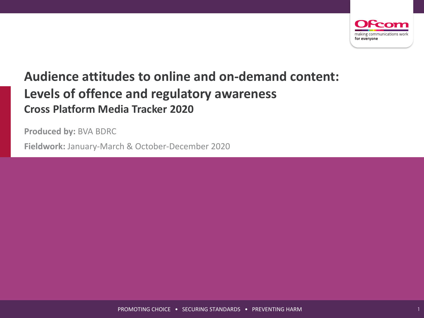

# **Audience attitudes to online and on-demand content: Levels of offence and regulatory awareness Cross Platform Media Tracker 2020**

**Produced by:** BVA BDRC

**Fieldwork:** January-March & October-December 2020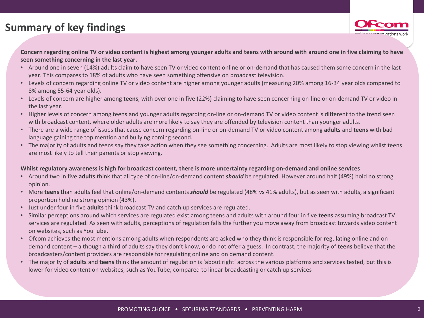# **Summary of key findings**



**Concern regarding online TV or video content is highest among younger adults and teens with around with around one in five claiming to have seen something concerning in the last year.**

- Around one in seven (14%) adults claim to have seen TV or video content online or on-demand that has caused them some concern in the last year. This compares to 18% of adults who have seen something offensive on broadcast television.
- Levels of concern regarding online TV or video content are higher among younger adults (measuring 20% among 16-34 year olds compared to 8% among 55-64 year olds).
- Levels of concern are higher among **teens**, with over one in five (22%) claiming to have seen concerning on-line or on-demand TV or video in the last year.
- Higher levels of concern among teens and younger adults regarding on-line or on-demand TV or video content is different to the trend seen with broadcast content, where older adults are more likely to say they are offended by television content than younger adults.
- There are a wide range of issues that cause concern regarding on-line or on-demand TV or video content among **adults** and **teens** with bad language gaining the top mention and bullying coming second.
- The majority of adults and teens say they take action when they see something concerning. Adults are most likely to stop viewing whilst teens are most likely to tell their parents or stop viewing.

#### **Whilst regulatory awareness is high for broadcast content, there is more uncertainty regarding on-demand and online services**

- Around two in five **adults** think that all type of on-line/on-demand content *should* be regulated. However around half (49%) hold no strong opinion.
- More **teens** than adults feel that online/on-demand contents *should* be regulated (48% vs 41% adults), but as seen with adults, a significant proportion hold no strong opinion (43%).
- Just under four in five **adults** think broadcast TV and catch up services are regulated.
- Similar perceptions around which services are regulated exist among teens and adults with around four in five **teens** assuming broadcast TV services are regulated. As seen with adults, perceptions of regulation falls the further you move away from broadcast towards video content on websites, such as YouTube.
- Ofcom achieves the most mentions among adults when respondents are asked who they think is responsible for regulating online and on demand content – although a third of adults say they don't know, or do not offer a guess. In contrast, the majority of **teens** believe that the broadcasters/content providers are responsible for regulating online and on demand content.
- The majority of **adults** and **teens** think the amount of regulation is 'about right' across the various platforms and services tested, but this is lower for video content on websites, such as YouTube, compared to linear broadcasting or catch up services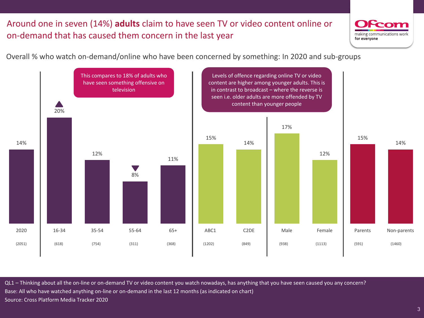## Around one in seven (14%) **adults** claim to have seen TV or video content online or on-demand that has caused them concern in the last year



ı

Overall % who watch on-demand/online who have been concerned by something: In 2020 and sub-groups



QL1 – Thinking about all the on-line or on-demand TV or video content you watch nowadays, has anything that you have seen caused you any concern? Base: All who have watched anything on-line or on-demand in the last 12 months (as indicated on chart) Source: Cross Platform Media Tracker 2020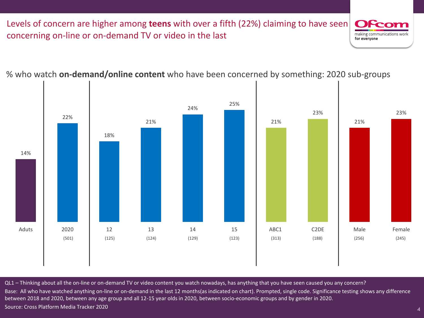Levels of concern are higher among **teens** with over a fifth (22%) claiming to have seen concerning on-line or on-demand TV or video in the last making communications worl for everyone

14% 22% 18% 21% 24% 25% 21% 23% 21% 23% Aduts | 2020 | 12 13 14 15 | ABC1 C2DE | Male Female (501) (125) (124) (129) (123) (313) (188) (256) (245)

% who watch **on-demand/online content** who have been concerned by something: 2020 sub-groups

 $\sqrt{\frac{QL1 - Thinking$  about all the on-line or on-demand TV or video content you watch nowadays, has anything that you have seen caused you any concern? Base: All who have watched anything on-line or on-demand in the last 12 months(as indicated on chart). Prompted, single code. Significance testing shows any difference between 2018 and 2020, between any age group and all 12-15 year olds in 2020, between socio-economic groups and by gender in 2020. Source: Cross Platform Media Tracker 2020

4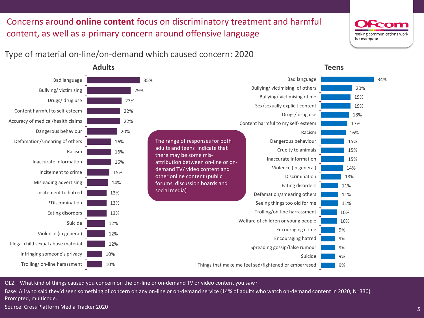# Concerns around **online content** focus on discriminatory treatment and harmful content, as well as a primary concern around offensive language

# making communications wor for everyone

5

### Type of material on-line/on-demand which caused concern: 2020



**Adults**

QL2 – What kind of things caused you concern on the on-line or on-demand TV or video content you saw?

Base: All who said they'd seen something of concern on any on-line or on-demand service (14% of adults who watch on-demand content in 2020, N=330). Prompted, multicode.

Source: Cross Platform Media Tracker 2020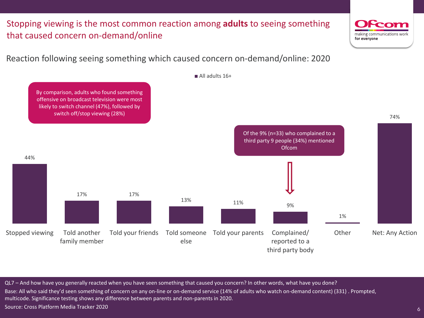Stopping viewing is the most common reaction among **adults** to seeing something that caused concern on-demand/online

Reaction following seeing something which caused concern on-demand/online: 2020



QL7 – And how have you generally reacted when you have seen something that caused you concern? In other words, what have you done? Base: All who said they'd seen something of concern on any on-line or on-demand service (14% of adults who watch on-demand content) (331) . Prompted, multicode. Significance testing shows any difference between parents and non-parents in 2020. Source: Cross Platform Media Tracker 2020

6

making communications wor

for everyone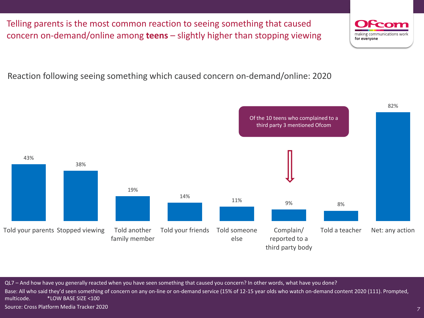QL7 – And how have you generally reacted when you have seen something that caused you concern? In other words, what have you done? multicode. \*LOW BASE SIZE <100



Source: Cross Platform Media Tracker 2020

# Reaction following seeing something which caused concern on-demand/online: 2020

43% 38% 19% 14% 11% 9% 8% 82% Told your parents Stopped viewing Told another family member Told your friends Told someone else Complain/ reported to a third party body Told a teacher Net: any action Of the 10 teens who complained to a third party 3 mentioned Ofcom

Telling parents is the most common reaction to seeing something that caused concern on-demand/online among **teens** – slightly higher than stopping viewing

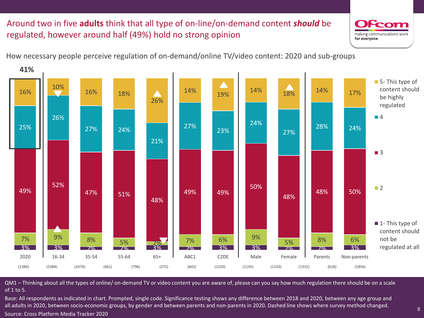# Around two in five **adults** think that all type of on-line/on-demand content *should* be regulated, however around half (49%) hold no strong opinion





QM1 – Thinking about all the types of online/ on-demand TV or video content you are aware of, please can you say how much regulation there should be on a scale of 1 to 5.

Base: All respondents as indicated in chart. Prompted, single code. Significance testing shows any difference between 2018 and 2020, between any age group and all adults in 2020, between socio-economic groups, by gender and between parents and non-parents in 2020. Dashed line shows where survey method changed. Source: Cross Platform Media Tracker 2020

1

making communications wor

for everyone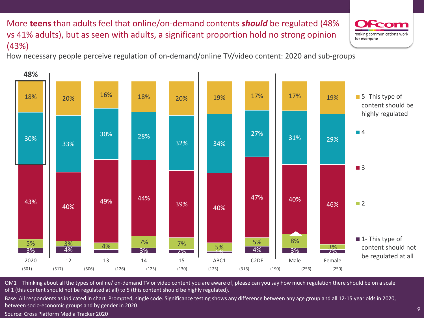More **teens** than adults feel that online/on-demand contents *should* be regulated (48% vs 41% adults), but as seen with adults, a significant proportion hold no strong opinion (43%)

How necessary people perceive regulation of on-demand/online TV/video content: 2020 and sub-groups



QM1 – Thinking about all the types of online/ on-demand TV or video content you are aware of, please can you say how much regulation there should be on a scale of 1 (this content should not be regulated at all) to 5 (this content should be highly regulated).

Base: All respondents as indicated in chart. Prompted, single code. Significance testing shows any difference between any age group and all 12-15 year olds in 2020, between socio-economic groups and by gender in 2020.

Source: Cross Platform Media Tracker 2020

making communications worl for everyone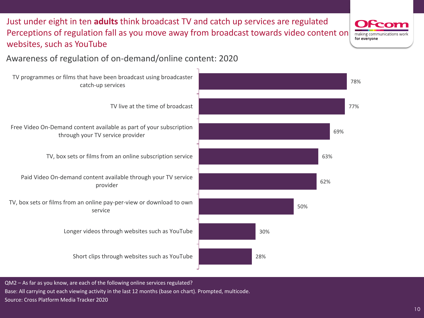Just under eight in ten **adults** think broadcast TV and catch up services are regulated Perceptions of regulation fall as you move away from broadcast towards video content on websites, such as YouTube

making communications wor for everyone

10

# Awareness of regulation of on-demand/online content: 2020



QM2 – As far as you know, are each of the following online services regulated? Base: All carrying out each viewing activity in the last 12 months (base on chart). Prompted, multicode. Source: Cross Platform Media Tracker 2020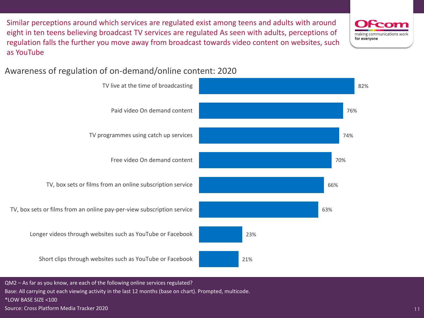Similar perceptions around which services are regulated exist among teens and adults with around eight in ten teens believing broadcast TV services are regulated As seen with adults, perceptions of regulation falls the further you move away from broadcast towards video content on websites, such as YouTube

Awareness of regulation of on-demand/online content: 2020



QM2 – As far as you know, are each of the following online services regulated?

Base: All carrying out each viewing activity in the last 12 months (base on chart). Prompted, multicode.

\*LOW BASE SIZE <100

Source: Cross Platform Media Tracker 2020

making communications wor for everyone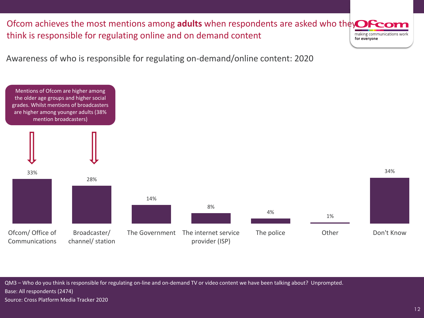Ofcom achieves the most mentions among **adults** when respondents are asked who they**Ofco** think is responsible for regulating online and on demand content making communications work for everyone

Awareness of who is responsible for regulating on-demand/online content: 2020



QM3 – Who do you think is responsible for regulating on-line and on-demand TV or video content we have been talking about? Unprompted. Base: All respondents (2474)

Source: Cross Platform Media Tracker 2020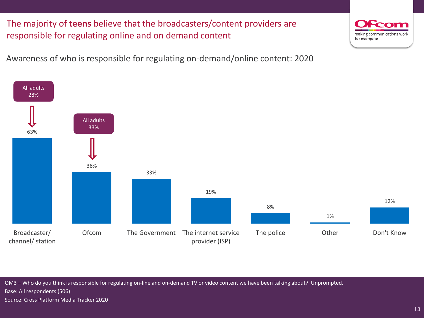The majority of **teens** believe that the broadcasters/content providers are responsible for regulating online and on demand content

Awareness of who is responsible for regulating on-demand/online content: 2020



QM3 – Who do you think is responsible for regulating on-line and on-demand TV or video content we have been talking about? Unprompted. Base: All respondents (506)

Source: Cross Platform Media Tracker 2020

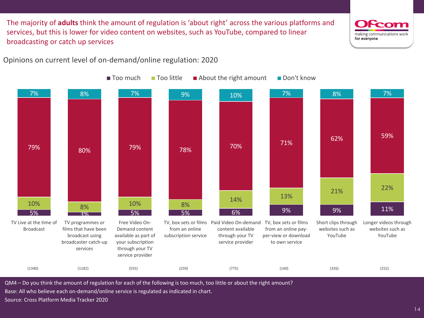The majority of **adults** think the amount of regulation is 'about right' across the various platforms and services, but this is lower for video content on websites, such as YouTube, compared to linear broadcasting or catch up services



14

Opinions on current level of on-demand/online regulation: 2020



QM4 – Do you think the amount of regulation for each of the following is too much, too little or about the right amount?

Base: All who believe each on-demand/online service is regulated as indicated in chart.

Source: Cross Platform Media Tracker 2020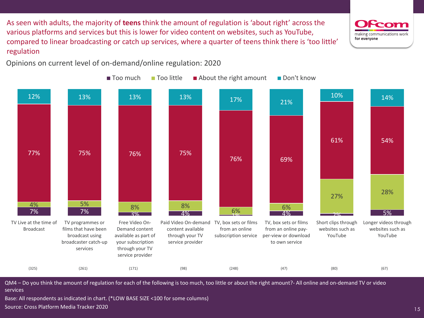As seen with adults, the majority of **teens** think the amount of regulation is 'about right' across the various platforms and services but this is lower for video content on websites, such as YouTube, compared to linear broadcasting or catch up services, where a quarter of teens think there is 'too little' regulation

Opinions on current level of on-demand/online regulation: 2020



QM4 – Do you think the amount of regulation for each of the following is too much, too little or about the right amount?- All online and on-demand TV or video services

Base: All respondents as indicated in chart. (\*LOW BASE SIZE <100 for some columns) Source: Cross Platform Media Tracker 2020

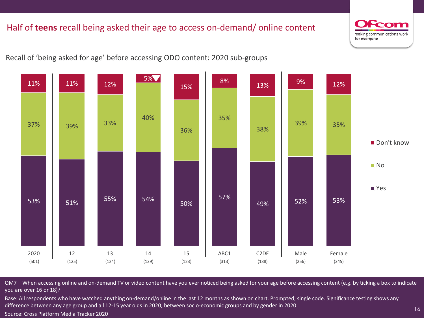## Half of **teens** recall being asked their age to access on-demand/ online content

making communications worl for everyone

16

Recall of 'being asked for age' before accessing ODO content: 2020 sub-groups



QM7 – When accessing online and on-demand TV or video content have you ever noticed being asked for your age before accessing content (e.g. by ticking a box to indicate you are over 16 or 18)?

Base: All respondents who have watched anything on-demand/online in the last 12 months as shown on chart. Prompted, single code. Significance testing shows any difference between any age group and all 12-15 year olds in 2020, between socio-economic groups and by gender in 2020.

Source: Cross Platform Media Tracker 2020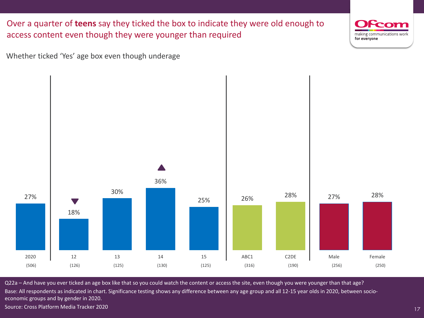Over a quarter of **teens** say they ticked the box to indicate they were old enough to access content even though they were younger than required



17

Whether ticked 'Yes' age box even though underage



Q22a – And have you ever ticked an age box like that so you could watch the content or access the site, even though you were younger than that age? Base: All respondents as indicated in chart. Significance testing shows any difference between any age group and all 12-15 year olds in 2020, between socioeconomic groups and by gender in 2020. Source: Cross Platform Media Tracker 2020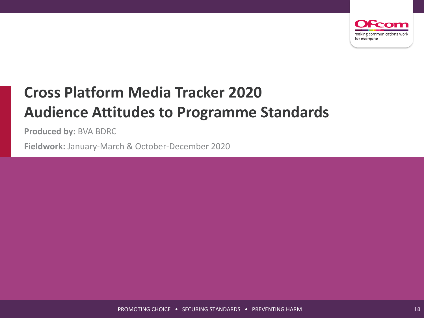

# **Cross Platform Media Tracker 2020 Audience Attitudes to Programme Standards**

**Produced by:** BVA BDRC

**Fieldwork:** January-March & October-December 2020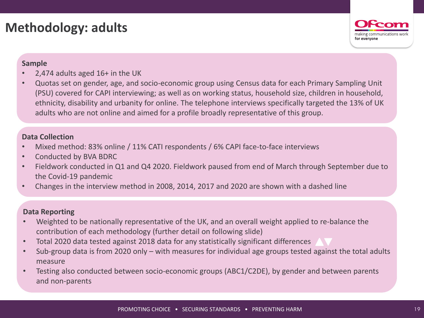# **Methodology: adults**



#### **Sample**

- 2,474 adults aged  $16+$  in the UK
- Quotas set on gender, age, and socio-economic group using Census data for each Primary Sampling Unit (PSU) covered for CAPI interviewing; as well as on working status, household size, children in household, ethnicity, disability and urbanity for online. The telephone interviews specifically targeted the 13% of UK adults who are not online and aimed for a profile broadly representative of this group.

#### **Data Collection**

- Mixed method: 83% online / 11% CATI respondents / 6% CAPI face-to-face interviews
- Conducted by BVA BDRC
- Fieldwork conducted in Q1 and Q4 2020. Fieldwork paused from end of March through September due to the Covid-19 pandemic
- Changes in the interview method in 2008, 2014, 2017 and 2020 are shown with a dashed line

#### **Data Reporting**

- Weighted to be nationally representative of the UK, and an overall weight applied to re-balance the contribution of each methodology (further detail on following slide)
- Total 2020 data tested against 2018 data for any statistically significant differences
- Sub-group data is from 2020 only with measures for individual age groups tested against the total adults measure
- Testing also conducted between socio-economic groups (ABC1/C2DE), by gender and between parents and non-parents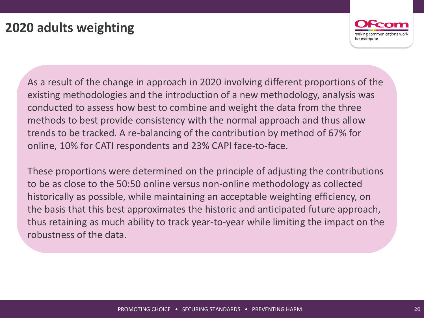

As a result of the change in approach in 2020 involving different proportions of the existing methodologies and the introduction of a new methodology, analysis was conducted to assess how best to combine and weight the data from the three methods to best provide consistency with the normal approach and thus allow trends to be tracked. A re-balancing of the contribution by method of 67% for online, 10% for CATI respondents and 23% CAPI face-to-face.

These proportions were determined on the principle of adjusting the contributions to be as close to the 50:50 online versus non-online methodology as collected historically as possible, while maintaining an acceptable weighting efficiency, on the basis that this best approximates the historic and anticipated future approach, thus retaining as much ability to track year-to-year while limiting the impact on the robustness of the data.